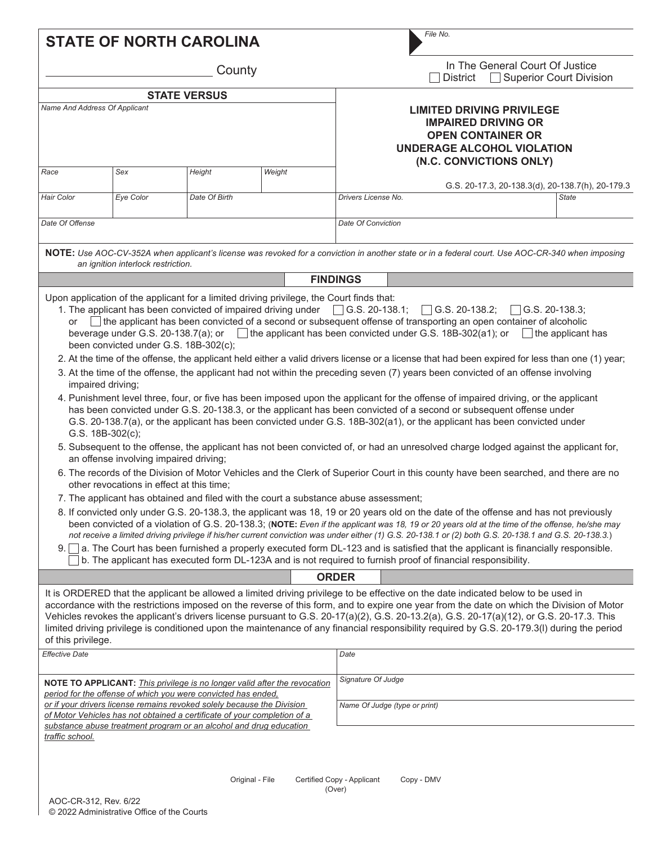|                                                                                                                                                                                                                                                                                                              |                                                                                                                                                                       | <b>STATE OF NORTH CAROLINA</b>                                                       |                 |                               |                                                                                                                                                            | File No.                                                                                                                                                                                                                                                                                                                                                                                                                                                                                                                                                                                                                                                                                                                                                                                                                                                                                                                                                                                                                                                                                                                                                                                                                                                                                                                                                                                                                                                                                                                                                                                                                                                                                                                                                                                                                                                                                                                   |  |
|--------------------------------------------------------------------------------------------------------------------------------------------------------------------------------------------------------------------------------------------------------------------------------------------------------------|-----------------------------------------------------------------------------------------------------------------------------------------------------------------------|--------------------------------------------------------------------------------------|-----------------|-------------------------------|------------------------------------------------------------------------------------------------------------------------------------------------------------|----------------------------------------------------------------------------------------------------------------------------------------------------------------------------------------------------------------------------------------------------------------------------------------------------------------------------------------------------------------------------------------------------------------------------------------------------------------------------------------------------------------------------------------------------------------------------------------------------------------------------------------------------------------------------------------------------------------------------------------------------------------------------------------------------------------------------------------------------------------------------------------------------------------------------------------------------------------------------------------------------------------------------------------------------------------------------------------------------------------------------------------------------------------------------------------------------------------------------------------------------------------------------------------------------------------------------------------------------------------------------------------------------------------------------------------------------------------------------------------------------------------------------------------------------------------------------------------------------------------------------------------------------------------------------------------------------------------------------------------------------------------------------------------------------------------------------------------------------------------------------------------------------------------------------|--|
| County                                                                                                                                                                                                                                                                                                       |                                                                                                                                                                       |                                                                                      |                 |                               |                                                                                                                                                            | In The General Court Of Justice<br>□ Superior Court Division<br><b>District</b>                                                                                                                                                                                                                                                                                                                                                                                                                                                                                                                                                                                                                                                                                                                                                                                                                                                                                                                                                                                                                                                                                                                                                                                                                                                                                                                                                                                                                                                                                                                                                                                                                                                                                                                                                                                                                                            |  |
|                                                                                                                                                                                                                                                                                                              |                                                                                                                                                                       |                                                                                      |                 |                               |                                                                                                                                                            |                                                                                                                                                                                                                                                                                                                                                                                                                                                                                                                                                                                                                                                                                                                                                                                                                                                                                                                                                                                                                                                                                                                                                                                                                                                                                                                                                                                                                                                                                                                                                                                                                                                                                                                                                                                                                                                                                                                            |  |
| <b>STATE VERSUS</b><br>Name And Address Of Applicant                                                                                                                                                                                                                                                         |                                                                                                                                                                       |                                                                                      |                 |                               | <b>LIMITED DRIVING PRIVILEGE</b><br><b>IMPAIRED DRIVING OR</b><br><b>OPEN CONTAINER OR</b><br><b>UNDERAGE ALCOHOL VIOLATION</b><br>(N.C. CONVICTIONS ONLY) |                                                                                                                                                                                                                                                                                                                                                                                                                                                                                                                                                                                                                                                                                                                                                                                                                                                                                                                                                                                                                                                                                                                                                                                                                                                                                                                                                                                                                                                                                                                                                                                                                                                                                                                                                                                                                                                                                                                            |  |
| Race                                                                                                                                                                                                                                                                                                         | Sex                                                                                                                                                                   | Height                                                                               | Weight          |                               |                                                                                                                                                            |                                                                                                                                                                                                                                                                                                                                                                                                                                                                                                                                                                                                                                                                                                                                                                                                                                                                                                                                                                                                                                                                                                                                                                                                                                                                                                                                                                                                                                                                                                                                                                                                                                                                                                                                                                                                                                                                                                                            |  |
|                                                                                                                                                                                                                                                                                                              |                                                                                                                                                                       |                                                                                      |                 |                               |                                                                                                                                                            | G.S. 20-17.3, 20-138.3(d), 20-138.7(h), 20-179.3                                                                                                                                                                                                                                                                                                                                                                                                                                                                                                                                                                                                                                                                                                                                                                                                                                                                                                                                                                                                                                                                                                                                                                                                                                                                                                                                                                                                                                                                                                                                                                                                                                                                                                                                                                                                                                                                           |  |
| Hair Color                                                                                                                                                                                                                                                                                                   | Eye Color                                                                                                                                                             | Date Of Birth                                                                        |                 |                               | Drivers License No.                                                                                                                                        | <b>State</b>                                                                                                                                                                                                                                                                                                                                                                                                                                                                                                                                                                                                                                                                                                                                                                                                                                                                                                                                                                                                                                                                                                                                                                                                                                                                                                                                                                                                                                                                                                                                                                                                                                                                                                                                                                                                                                                                                                               |  |
| Date Of Offense                                                                                                                                                                                                                                                                                              |                                                                                                                                                                       |                                                                                      |                 |                               | Date Of Conviction                                                                                                                                         |                                                                                                                                                                                                                                                                                                                                                                                                                                                                                                                                                                                                                                                                                                                                                                                                                                                                                                                                                                                                                                                                                                                                                                                                                                                                                                                                                                                                                                                                                                                                                                                                                                                                                                                                                                                                                                                                                                                            |  |
|                                                                                                                                                                                                                                                                                                              | an ignition interlock restriction.                                                                                                                                    |                                                                                      |                 |                               |                                                                                                                                                            | NOTE: Use AOC-CV-352A when applicant's license was revoked for a conviction in another state or in a federal court. Use AOC-CR-340 when imposing                                                                                                                                                                                                                                                                                                                                                                                                                                                                                                                                                                                                                                                                                                                                                                                                                                                                                                                                                                                                                                                                                                                                                                                                                                                                                                                                                                                                                                                                                                                                                                                                                                                                                                                                                                           |  |
|                                                                                                                                                                                                                                                                                                              |                                                                                                                                                                       |                                                                                      |                 |                               | <b>FINDINGS</b>                                                                                                                                            |                                                                                                                                                                                                                                                                                                                                                                                                                                                                                                                                                                                                                                                                                                                                                                                                                                                                                                                                                                                                                                                                                                                                                                                                                                                                                                                                                                                                                                                                                                                                                                                                                                                                                                                                                                                                                                                                                                                            |  |
| 9. I                                                                                                                                                                                                                                                                                                         | been convicted under G.S. 18B-302(c);<br>impaired driving;<br>G.S. 18B-302(c);<br>an offense involving impaired driving;<br>other revocations in effect at this time; | 7. The applicant has obtained and filed with the court a substance abuse assessment; |                 |                               |                                                                                                                                                            | The applicant has been convicted of a second or subsequent offense of transporting an open container of alcoholic<br>beverage under G.S. 20-138.7(a); or $\Box$ the applicant has been convicted under G.S. 18B-302(a1); or $\Box$ the applicant has<br>2. At the time of the offense, the applicant held either a valid drivers license or a license that had been expired for less than one (1) year;<br>3. At the time of the offense, the applicant had not within the preceding seven (7) years been convicted of an offense involving<br>4. Punishment level three, four, or five has been imposed upon the applicant for the offense of impaired driving, or the applicant<br>has been convicted under G.S. 20-138.3, or the applicant has been convicted of a second or subsequent offense under<br>G.S. 20-138.7(a), or the applicant has been convicted under G.S. 18B-302(a1), or the applicant has been convicted under<br>5. Subsequent to the offense, the applicant has not been convicted of, or had an unresolved charge lodged against the applicant for,<br>6. The records of the Division of Motor Vehicles and the Clerk of Superior Court in this county have been searched, and there are no<br>8. If convicted only under G.S. 20-138.3, the applicant was 18, 19 or 20 years old on the date of the offense and has not previously<br>been convicted of a violation of G.S. 20-138.3; (NOTE: Even if the applicant was 18, 19 or 20 years old at the time of the offense, he/she may<br>not receive a limited driving privilege if his/her current conviction was under either (1) G.S. 20-138.1 or (2) both G.S. 20-138.1 and G.S. 20-138.3.)<br>a. The Court has been furnished a properly executed form DL-123 and is satisfied that the applicant is financially responsible.<br>b. The applicant has executed form DL-123A and is not required to furnish proof of financial responsibility. |  |
|                                                                                                                                                                                                                                                                                                              |                                                                                                                                                                       |                                                                                      |                 |                               | <b>ORDER</b>                                                                                                                                               |                                                                                                                                                                                                                                                                                                                                                                                                                                                                                                                                                                                                                                                                                                                                                                                                                                                                                                                                                                                                                                                                                                                                                                                                                                                                                                                                                                                                                                                                                                                                                                                                                                                                                                                                                                                                                                                                                                                            |  |
| of this privilege.                                                                                                                                                                                                                                                                                           |                                                                                                                                                                       |                                                                                      |                 |                               |                                                                                                                                                            | It is ORDERED that the applicant be allowed a limited driving privilege to be effective on the date indicated below to be used in<br>accordance with the restrictions imposed on the reverse of this form, and to expire one year from the date on which the Division of Motor<br>Vehicles revokes the applicant's drivers license pursuant to G.S. 20-17(a)(2), G.S. 20-13.2(a), G.S. 20-17(a)(12), or G.S. 20-17.3. This<br>limited driving privilege is conditioned upon the maintenance of any financial responsibility required by G.S. 20-179.3(I) during the period                                                                                                                                                                                                                                                                                                                                                                                                                                                                                                                                                                                                                                                                                                                                                                                                                                                                                                                                                                                                                                                                                                                                                                                                                                                                                                                                                 |  |
| <b>Effective Date</b>                                                                                                                                                                                                                                                                                        |                                                                                                                                                                       |                                                                                      |                 |                               | Date                                                                                                                                                       |                                                                                                                                                                                                                                                                                                                                                                                                                                                                                                                                                                                                                                                                                                                                                                                                                                                                                                                                                                                                                                                                                                                                                                                                                                                                                                                                                                                                                                                                                                                                                                                                                                                                                                                                                                                                                                                                                                                            |  |
| NOTE TO APPLICANT: This privilege is no longer valid after the revocation                                                                                                                                                                                                                                    |                                                                                                                                                                       |                                                                                      |                 |                               | Signature Of Judge                                                                                                                                         |                                                                                                                                                                                                                                                                                                                                                                                                                                                                                                                                                                                                                                                                                                                                                                                                                                                                                                                                                                                                                                                                                                                                                                                                                                                                                                                                                                                                                                                                                                                                                                                                                                                                                                                                                                                                                                                                                                                            |  |
| period for the offense of which you were convicted has ended,<br>or if your drivers license remains revoked solely because the Division<br>of Motor Vehicles has not obtained a certificate of your completion of a<br>substance abuse treatment program or an alcohol and drug education<br>traffic school. |                                                                                                                                                                       |                                                                                      |                 | Name Of Judge (type or print) |                                                                                                                                                            |                                                                                                                                                                                                                                                                                                                                                                                                                                                                                                                                                                                                                                                                                                                                                                                                                                                                                                                                                                                                                                                                                                                                                                                                                                                                                                                                                                                                                                                                                                                                                                                                                                                                                                                                                                                                                                                                                                                            |  |
|                                                                                                                                                                                                                                                                                                              |                                                                                                                                                                       |                                                                                      | Original - File |                               | Certified Copy - Applicant<br>(Over)                                                                                                                       | Copy - DMV                                                                                                                                                                                                                                                                                                                                                                                                                                                                                                                                                                                                                                                                                                                                                                                                                                                                                                                                                                                                                                                                                                                                                                                                                                                                                                                                                                                                                                                                                                                                                                                                                                                                                                                                                                                                                                                                                                                 |  |